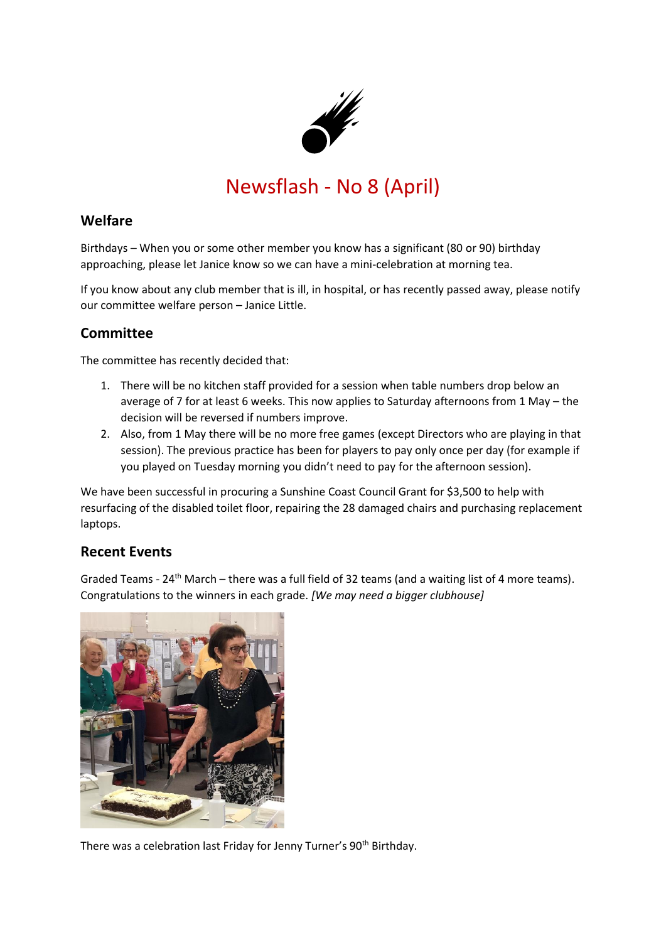

# Newsflash - No 8 (April)

### **Welfare**

Birthdays – When you or some other member you know has a significant (80 or 90) birthday approaching, please let Janice know so we can have a mini-celebration at morning tea.

If you know about any club member that is ill, in hospital, or has recently passed away, please notify our committee welfare person – Janice Little.

## **Committee**

The committee has recently decided that:

- 1. There will be no kitchen staff provided for a session when table numbers drop below an average of 7 for at least 6 weeks. This now applies to Saturday afternoons from 1 May – the decision will be reversed if numbers improve.
- 2. Also, from 1 May there will be no more free games (except Directors who are playing in that session). The previous practice has been for players to pay only once per day (for example if you played on Tuesday morning you didn't need to pay for the afternoon session).

We have been successful in procuring a Sunshine Coast Council Grant for \$3,500 to help with resurfacing of the disabled toilet floor, repairing the 28 damaged chairs and purchasing replacement laptops.

### **Recent Events**

Graded Teams -  $24<sup>th</sup>$  March – there was a full field of 32 teams (and a waiting list of 4 more teams). Congratulations to the winners in each grade. *[We may need a bigger clubhouse]*



There was a celebration last Friday for Jenny Turner's 90<sup>th</sup> Birthday.